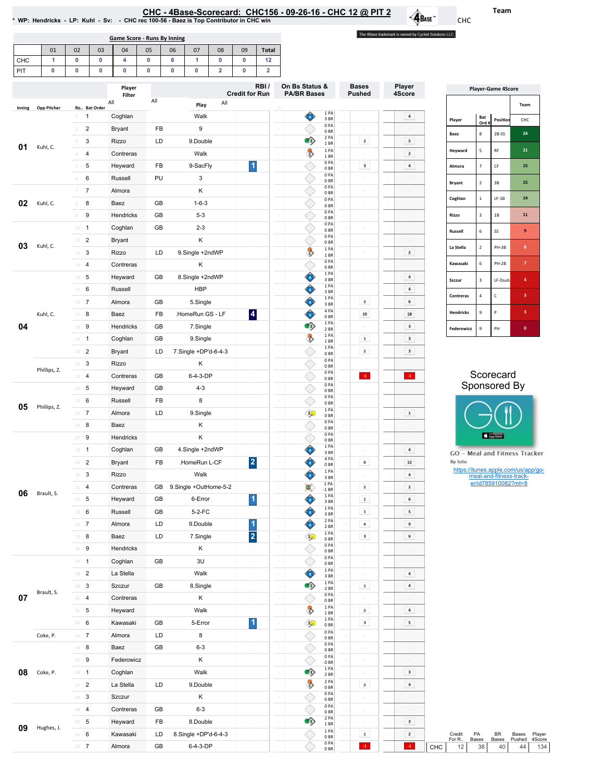| HC - 4Base-Scorecard:  CHC156 - 09-26-16 - CHC 12 @ PIT 2 |  |
|-----------------------------------------------------------|--|
|                                                           |  |

\*WP:Hendricks-LP:Kuhl-Sv: -CHCrec100-56-BaezisTopContributorinCHCwin

Game Score - Runs By Inning

01 | 02 | 03 | 04 | 05 | 06 | 07 | 08 | 09 | Total |

The 4Base trademark is owned by Cycled Solutions LLC.

 $\cdot \mathbf{Q}_{\text{Base}}$ 

| CHC                | 1            | 0               | 0                            | 4                      | 0             | 6                | 1               | 0                       | 0                       | 12                      |                                      |                                    |                           |                           |                               |                         |                                                |                                     |
|--------------------|--------------|-----------------|------------------------------|------------------------|---------------|------------------|-----------------|-------------------------|-------------------------|-------------------------|--------------------------------------|------------------------------------|---------------------------|---------------------------|-------------------------------|-------------------------|------------------------------------------------|-------------------------------------|
| PIT                | $\bf{0}$     | 0               | 0                            | 0                      | $\pmb{0}$     | $\pmb{0}$        | 0               | $\overline{2}$          | $\mathbf 0$             | $\overline{\mathbf{2}}$ |                                      |                                    |                           |                           |                               |                         |                                                |                                     |
|                    |              |                 |                              | Player                 |               |                  |                 |                         | <b>Credit for Run</b>   | RBI/                    | On Bs Status &<br><b>PA/BR Bases</b> | <b>Bases</b><br><b>Pushed</b>      | Player<br>4Score          | <b>Player-Game 4Score</b> |                               |                         |                                                |                                     |
|                    |              |                 |                              | Filter<br>All          | All           |                  | Play            | All                     |                         |                         |                                      |                                    |                           |                           |                               |                         |                                                | Team                                |
| Inning             | Opp Pitcher  | $1 -$           | Ro Bat Order<br>$\mathbf{1}$ | Coghlan                |               |                  | Walk            |                         |                         |                         | ♦                                    | 1 PA                               |                           | $\ddot{a}$                |                               | Bat                     |                                                |                                     |
|                    |              | $\overline{2}$  | $\overline{c}$               | <b>Bryant</b>          | FB            |                  | 9               |                         |                         |                         |                                      | 3BR<br>0PA                         |                           |                           | Player                        | Ord #                   | Position                                       | CHC                                 |
|                    |              | 3               | 3                            | Rizzo                  | LD            |                  | 9.Double        |                         |                         |                         | $\bullet$                            | 0 <sub>BR</sub><br>2 PA            | $\mathbf{z}$              | 5                         | Baez                          | $\bf8$                  | $2B-SS$                                        | 24                                  |
| 01                 | Kuhl, C.     | $4 -$           | 4                            | Contreras              |               |                  | Walk            |                         |                         |                         | $\rightarrow$                        | 1 BR<br>1PA                        |                           | $\mathbf{z}$              | Heyward                       | $\overline{\mathbf{5}}$ | RF                                             | ${\bf 21}$                          |
|                    |              | $5 -$           | 5                            | Heyward                | FB            |                  | 9-SacFly        |                         | $\blacktriangleleft$    |                         |                                      | 1BR<br>0PA                         | $\overline{\mathbf{3}}$   | $\,$ 4 $\,$               | Almora                        | $\overline{7}$          | $\mathsf{CF}$                                  | 15                                  |
|                    |              | 6               | 6                            | Russell                | PU            |                  | 3               |                         |                         |                         |                                      | 0BR<br>0PA                         |                           |                           |                               |                         |                                                |                                     |
|                    |              | $7 -$           | $\overline{7}$               | Almora                 |               |                  | Κ               |                         |                         |                         | ◇                                    | 0 <sub>BR</sub><br>0PA             |                           |                           | Bryant                        | $\overline{\mathbf{2}}$ | 3B                                             | 15                                  |
| 02                 | Kuhl, C.     | 8               | 8                            | Baez                   | GB            |                  | $1 - 6 - 3$     |                         |                         |                         |                                      | 0 <sub>BR</sub><br>0 <sub>PA</sub> |                           |                           | Coghlan                       | $\,$ 1                  | $LF-1B$                                        | ${\bf 14}$                          |
|                    |              | 9               | 9                            | Hendricks              | GB            |                  | $5 - 3$         |                         |                         |                         | ◇                                    | 0 <sub>BR</sub><br>0PA             |                           |                           | Rizzo                         | $\overline{\mathbf{3}}$ | $1\mathrm{B}$                                  | 11                                  |
|                    | $10 - 1$     |                 | Coghlan                      | GB                     |               | $2 - 3$          |                 |                         |                         |                         | 0 <sub>BR</sub><br>0PA               |                                    |                           |                           |                               |                         |                                                |                                     |
|                    |              | $11 - 2$        |                              |                        |               |                  | Κ               |                         |                         |                         | ◇                                    | 0 <sub>BR</sub><br>0PA             |                           |                           | Russell                       | $\sf 6$                 | SS                                             | 9                                   |
| 03                 | Kuhl, C.     | $12 - 3$        |                              | <b>Bryant</b><br>Rizzo | LD            |                  | 9.Single +2ndWP |                         |                         |                         | $\rightarrow$                        | 0 <sub>BR</sub><br>1PA             |                           | $\mathbf{z}$              | La Stella                     | $\overline{\mathbf{2}}$ | PH-3B                                          | $\bf8$                              |
|                    | 13 4         |                 | Contreras                    |                        |               | Κ                |                 |                         |                         |                         | 1 BR<br>0PA                          |                                    |                           | Kawasaki                  | $\,6\,$                       | $PH-2B$                 | $\overline{7}$                                 |                                     |
|                    |              | $14$ 5          |                              |                        | GB            |                  | 8.Single +2ndWP |                         |                         |                         | ♦                                    | 0 <sub>BR</sub><br>1PA             |                           | $\,$ 4 $\,$               |                               |                         |                                                |                                     |
|                    |              | $15 \t 6$       |                              | Heyward<br>Russell     |               |                  | <b>HBP</b>      |                         |                         |                         | ♦                                    | 3BR<br>1PA                         |                           | $\,$ 4 $\,$               | Szczur                        | $\mathsf 3$             | LF-Dsub                                        | 4                                   |
|                    |              | $16$ 7          |                              | Almora                 | GB            |                  | 5.Single        |                         |                         |                         | Ô                                    | 3BR<br>1PA                         | $\mathbf{z}$              | 6                         | Contreras                     | $\sqrt{4}$              | $\mathsf{C}$                                   | 3                                   |
| Kuhl, C.           | $17 - 8$     |                 | Baez                         | FB                     |               | .HomeRun GS - LF |                 | $\overline{\mathbf{A}}$ |                         | ♦                       | 3BR<br>4 PA                          | 10                                 | $\bf 18$                  | Hendricks                 | $\mathsf g$                   | P                       | 3                                              |                                     |
| 04                 |              | 18 9            |                              | Hendricks              | GB            |                  | 7.Single        |                         |                         |                         | $\bullet$                            | 0 <sub>BR</sub><br>1PA             |                           | 3                         |                               |                         |                                                |                                     |
|                    | $19 - 1$     |                 | Coghlan                      | GB                     |               | 9.Single         |                 |                         |                         | $\rightarrow$           | 2 BR<br>1PA                          | $\mathbf 1$                        | $\overline{\mathbf{3}}$   | Federowicz                | $\,9$                         | PH                      | $\pmb{0}$                                      |                                     |
|                    |              | $20 - 2$        |                              |                        | LD            |                  |                 | 7.Single +DP'd-6-4-3    |                         |                         |                                      | 1 BR<br>1PA                        | $\mathbf{z}$              | $\overline{\mathbf{3}}$   |                               |                         |                                                |                                     |
|                    |              |                 |                              | <b>Bryant</b><br>Rizzo |               |                  | Κ               |                         |                         |                         | ◇                                    | 0 <sub>BR</sub><br>0PA             |                           |                           |                               |                         |                                                |                                     |
|                    | Phillips, Z. | $21 \t3$        |                              |                        | GB            |                  | 6-4-3-DP        |                         |                         |                         |                                      | 0 <sub>BR</sub><br>0PA             |                           | $\langle {\bf 1} \rangle$ |                               |                         | Scorecard                                      |                                     |
|                    |              | $22 - 4$        |                              | Contreras              | GB            |                  | $4 - 3$         |                         |                         |                         | ◇<br>◇                               | 0 <sub>BR</sub><br>0PA             | $\langle 4 \rangle$       |                           |                               |                         | Sponsored By                                   |                                     |
|                    |              | $23 - 5$        |                              | Heyward                |               |                  |                 |                         |                         |                         |                                      | 0 <sub>BR</sub><br>0PA             |                           |                           |                               |                         |                                                |                                     |
| 05<br>Phillips, Z. |              | 24 6            |                              | Russell                | FB            |                  | 8               |                         |                         |                         | ◇                                    | 0 <sub>BR</sub><br>1PA             |                           |                           |                               |                         |                                                |                                     |
|                    |              | $25 - 7$        |                              | Almora                 | LD            |                  | 9.Single        |                         |                         |                         | $\mathcal{P}$                        | 0 <sub>BR</sub><br>0PA             |                           | $\mathbf 1$               |                               |                         |                                                |                                     |
|                    | $26$ 8       |                 | Baez                         |                        |               | Κ                |                 |                         |                         |                         | 0 <sub>BR</sub><br>0PA               |                                    |                           |                           |                               | App Store               |                                                |                                     |
|                    |              | $27 - 9$        |                              | Hendricks              |               |                  | Κ               |                         |                         |                         |                                      | 0 <sub>BR</sub><br>1PA             |                           |                           |                               |                         |                                                |                                     |
|                    |              | $28 - 1$        |                              | Coghlan                | GB            |                  | 4.Single +2ndWP |                         |                         |                         | ♦                                    | 3BR<br>4 PA                        |                           | $\,$ 4 $\,$               | GO - Meal and Fitness Tracker |                         |                                                |                                     |
|                    |              | $29 - 2$        |                              | <b>Bryant</b>          | FB            |                  | .HomeRun L-CF   |                         | $\overline{\mathbf{2}}$ |                         | ♦                                    | 0 <sub>BR</sub><br>1PA             | 6                         | $12\,$                    | By Iolo                       |                         |                                                | https://itunes.apple.com/us/app/go- |
|                    |              | 30              | 3                            | Rizzo                  |               |                  | Walk            |                         |                         |                         | ♦                                    | 3BR<br>1PA                         |                           | $\ddot{a}$                |                               |                         | meal-and-fitness-track-<br>er/id785910082?mt=8 |                                     |
| 06                 | Brault, S.   | $31 -$          | $\overline{4}$               | Contreras              | GB            |                  |                 | 9.Single +OutHome-5-2   |                         |                         | ×<br>♠                               | $-1$ BR<br>1 PA                    | $\mathbf{z}$              | $\mathbf{z}$              |                               |                         |                                                |                                     |
|                    |              | 32              | $\,$ 5 $\,$                  | Heyward                | $\mathsf{GB}$ |                  | 6-Error         |                         | $\overline{1}$          |                         |                                      | 3 BR<br>1PA                        | $\mathbf 1$               | 6                         |                               |                         |                                                |                                     |
|                    |              | 33 6            |                              | Russell                | GB            |                  | 5-2-FC          |                         |                         |                         | ♦                                    | 3BR<br>2 PA                        | $\,$ 1                    | 5                         |                               |                         |                                                |                                     |
|                    |              | $34 - 7$        |                              | Almora                 | LD            |                  | 9.Double        |                         | $\vert$                 |                         | ♦                                    | 2 BR<br>1PA                        | $\ddot{4}$                | $\bullet$                 |                               |                         |                                                |                                     |
|                    |              | 35 8            |                              | Baez                   | LD            |                  | 7.Single        |                         | $\overline{\mathbf{2}}$ |                         | $\mathcal{P}$                        | 0 <sub>BR</sub><br>0PA             | $\overline{\mathbf{3}}$   | 6                         |                               |                         |                                                |                                     |
|                    |              | 36 9            |                              | Hendricks              |               |                  | Κ               |                         |                         |                         |                                      | 0 <sub>BR</sub><br>0PA             |                           |                           |                               |                         |                                                |                                     |
|                    |              | $37 - 1$        |                              | Coghlan                | GB            |                  | 3U              |                         |                         |                         |                                      | 0BR<br>1PA                         |                           |                           |                               |                         |                                                |                                     |
|                    |              | 38 <sup>2</sup> |                              | La Stella              |               |                  | Walk            |                         |                         |                         | ♦                                    | 3BR<br>1PA                         |                           | $\,$ 4 $\,$               |                               |                         |                                                |                                     |
|                    | Brault, S.   | 39 3            |                              | Szczur                 | GB            |                  | 8.Single        |                         |                         | $\bullet$               | 2 BR<br>0PA                          | $\,$ 1 $\,$                        | $\ddot{4}$                |                           |                               |                         |                                                |                                     |
| 07                 |              | 40 4            |                              | Contreras              |               |                  | Κ               |                         |                         |                         |                                      | 0 <sub>BR</sub><br>1PA             |                           |                           |                               |                         |                                                |                                     |
|                    |              | $41 - 5$        |                              | Heyward                |               |                  | Walk            |                         |                         |                         | $\rightarrow$                        | 1 BR<br>1PA                        | $\mathbf{z}$              | $\,$ 4 $\,$               |                               |                         |                                                |                                     |
|                    |              | 42 6            |                              | Kawasaki               | GB            |                  | 5-Error         |                         | $\vert$ 1               |                         | $\mathcal{P}$                        | 0 <sub>BR</sub><br>0PA             | $\overline{\mathbf{3}}$   | 5                         |                               |                         |                                                |                                     |
|                    | Coke, P.     | 43 7            |                              | Almora                 | LD            |                  | 8               |                         |                         |                         | ♦                                    | 0 <sub>BR</sub><br>0PA             |                           |                           |                               |                         |                                                |                                     |
|                    |              | $44$ 8          |                              | Baez                   | GB            |                  | $6 - 3$         |                         |                         |                         | ◇                                    | 0 <sub>BR</sub><br>0PA             |                           |                           |                               |                         |                                                |                                     |
|                    |              | 45 9            |                              | Federowicz             |               |                  | Κ               |                         |                         |                         | ◇                                    | 0 <sub>BR</sub><br>1PA             |                           |                           |                               |                         |                                                |                                     |
| 08                 | Coke, P.     | $46 - 1$        |                              | Coghlan                |               |                  | Walk            |                         |                         |                         | $\bullet$                            | 2BR                                |                           | $\overline{\mathbf{3}}$   |                               |                         |                                                |                                     |
|                    |              | $47$ 2          |                              | La Stella              | LD            |                  | 9.Double        |                         |                         |                         | $\rightarrow$                        | 2 PA<br>0 <sub>BR</sub>            | $\mathbf{z}$              | 4                         |                               |                         |                                                |                                     |
|                    |              | 48 3            |                              | Szczur                 |               |                  | Κ               |                         |                         |                         |                                      | 0PA<br>0BR                         |                           |                           |                               |                         |                                                |                                     |
|                    |              | 49 4            |                              | Contreras              | GB            |                  | $6 - 3$         |                         |                         |                         |                                      | 0PA<br>0B                          |                           |                           |                               |                         |                                                |                                     |
| 09                 | Hughes, J.   | 50 <sub>5</sub> |                              | Heyward                | FB            |                  | 8.Double        |                         |                         |                         | $\bullet$                            | 2 PA<br>1 BR                       |                           | $\overline{\mathbf{3}}$   |                               |                         |                                                |                                     |
|                    |              | 51 6            |                              | Kawasaki               | LD            |                  |                 | 8.Single +DP'd-6-4-3    |                         |                         |                                      | 1PA<br>0 <sub>BR</sub>             | $\mathbf 1$               | $\mathbf{z}$              | Credit<br>For R               | PA<br>Bases             | BR<br>Bases                                    | Player<br>Bases<br>Pushed<br>4Score |
|                    |              | $52 \quad 7$    |                              | Almora                 | $\mathsf{GB}$ |                  | 6-4-3-DP        |                         |                         |                         |                                      | 0PA<br>0B                          | $\langle {\bf 4} \rangle$ | $\langle 4 \rangle$       | CHC<br>12                     | 38                      | 40                                             | 44                                  |

| <b>Player-Game 4Score</b> |                |              |                         |  |  |  |  |  |  |  |
|---------------------------|----------------|--------------|-------------------------|--|--|--|--|--|--|--|
|                           |                |              | Team                    |  |  |  |  |  |  |  |
| Player                    | Bat<br>Ord#    | Position     | CHC                     |  |  |  |  |  |  |  |
| Baez                      | 8              | $2B-SS$      | 24                      |  |  |  |  |  |  |  |
| Heyward                   | 5              | <b>RF</b>    | 21                      |  |  |  |  |  |  |  |
| Almora                    | $\overline{7}$ | CF           | 15                      |  |  |  |  |  |  |  |
| <b>Bryant</b>             | $\overline{2}$ | 3B           | 15                      |  |  |  |  |  |  |  |
| Coghlan                   | 1              | $LF-1B$      | 14                      |  |  |  |  |  |  |  |
| Rizzo                     | 3              | 1B           | 11                      |  |  |  |  |  |  |  |
| Russell                   | 6              | SS           | 9                       |  |  |  |  |  |  |  |
| La Stella                 | $\overline{2}$ | PH-3B        | 8                       |  |  |  |  |  |  |  |
| Kawasaki                  | 6              | PH-2B        | $\overline{7}$          |  |  |  |  |  |  |  |
| Szczur                    | 3              | LF-Dsub      | 4                       |  |  |  |  |  |  |  |
| Contreras                 | 4              | $\mathsf{C}$ | 3                       |  |  |  |  |  |  |  |
| <b>Hendricks</b>          | 9              | P            | $\overline{\mathbf{3}}$ |  |  |  |  |  |  |  |
| Federowicz                | 9              | PH           | $\mathbf{0}$            |  |  |  |  |  |  |  |

## Scorecard Sponsored By



Team

CHC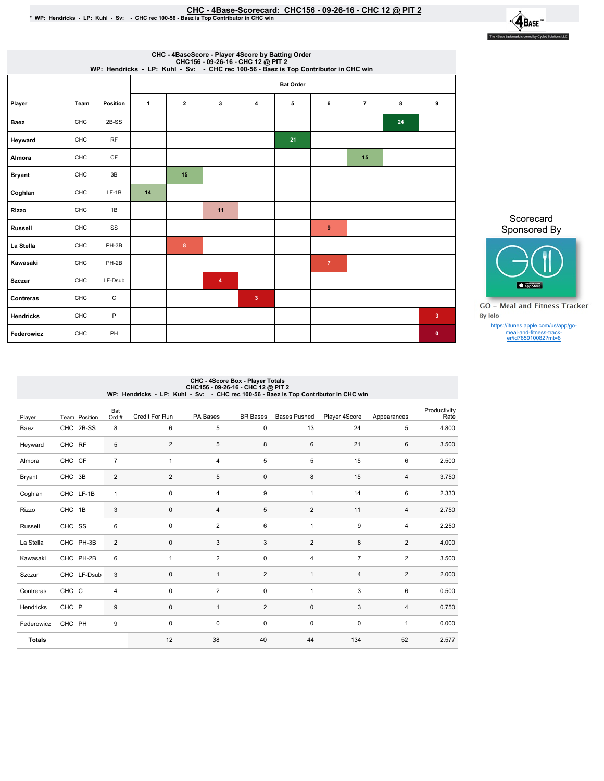## EHC - 4Base-Scorecard: CHC156 - 09-26-16 - CHC 12 @ PIT 2<br>\* WP: Hendricks - LP: Kuhl - Sv: - CHC rec 100-56 - Baez is Top Contributor in CHC win



| CHC - 4BaseScore - Player 4Score by Batting Order<br>CHC156 - 09-26-16 - CHC 12 @ PIT 2<br>WP: Hendricks - LP: Kuhl - Sv: - CHC rec 100-56 - Baez is Top Contributor in CHC win |      |           |              |                  |                         |                |    |                |                |    |                         |  |  |
|---------------------------------------------------------------------------------------------------------------------------------------------------------------------------------|------|-----------|--------------|------------------|-------------------------|----------------|----|----------------|----------------|----|-------------------------|--|--|
|                                                                                                                                                                                 |      |           |              | <b>Bat Order</b> |                         |                |    |                |                |    |                         |  |  |
| Player                                                                                                                                                                          | Team | Position  | $\mathbf{1}$ | $\overline{2}$   | 3                       | 4              | 5  | 6              | $\overline{7}$ | 8  | 9                       |  |  |
| <b>Baez</b>                                                                                                                                                                     | CHC  | 2B-SS     |              |                  |                         |                |    |                |                | 24 |                         |  |  |
| Heyward                                                                                                                                                                         | CHC  | RF        |              |                  |                         |                | 21 |                |                |    |                         |  |  |
| Almora                                                                                                                                                                          | CHC  | <b>CF</b> |              |                  |                         |                |    |                | 15             |    |                         |  |  |
| <b>Bryant</b>                                                                                                                                                                   | CHC  | 3B        |              | 15               |                         |                |    |                |                |    |                         |  |  |
| Coghlan                                                                                                                                                                         | CHC  | $LF-1B$   | 14           |                  |                         |                |    |                |                |    |                         |  |  |
| <b>Rizzo</b>                                                                                                                                                                    | CHC  | 1B        |              |                  | 11                      |                |    |                |                |    |                         |  |  |
| <b>Russell</b>                                                                                                                                                                  | CHC  | SS        |              |                  |                         |                |    | 9              |                |    |                         |  |  |
| La Stella                                                                                                                                                                       | CHC  | PH-3B     |              | 8                |                         |                |    |                |                |    |                         |  |  |
| Kawasaki                                                                                                                                                                        | CHC  | PH-2B     |              |                  |                         |                |    | $\overline{7}$ |                |    |                         |  |  |
| <b>Szczur</b>                                                                                                                                                                   | CHC  | LF-Dsub   |              |                  | $\overline{\mathbf{4}}$ |                |    |                |                |    |                         |  |  |
| Contreras                                                                                                                                                                       | CHC  | C         |              |                  |                         | 3 <sup>2</sup> |    |                |                |    |                         |  |  |
| <b>Hendricks</b>                                                                                                                                                                | CHC  | P         |              |                  |                         |                |    |                |                |    | $\overline{\mathbf{3}}$ |  |  |
| Federowicz                                                                                                                                                                      | CHC  | PH        |              |                  |                         |                |    |                |                |    | $\bullet$               |  |  |

Scorecard Sponsored By



**GO** - Meal and Fitness Tracker By Iolo

https://itunes.apple.com/us/app/go-meal-and-fitness-track-er/id785910082?mt=8

## CHC - 4Score Box - Player Totals<br>CHC156 - 09-26-16 - CHC 12 @ PIT 2<br>WP: Hendricks - LP: Kuhl - Sv: - CHC rec 100-56 - Baez is Top Contributor in CHC win

| Player        | Team Position | Bat<br>Ord #   | Credit For Run | PA Bases       | <b>BR</b> Bases | <b>Bases Pushed</b> | Player 4Score  | Appearances    | Productivity<br>Rate |
|---------------|---------------|----------------|----------------|----------------|-----------------|---------------------|----------------|----------------|----------------------|
| Baez          | CHC 2B-SS     | 8              | 6              | 5              | 0               | 13                  | 24             | 5              | 4.800                |
| Heyward       | CHC RF        | 5              | $\overline{2}$ | 5              | 8               | 6                   | 21             | 6              | 3.500                |
| Almora        | CHC CF        | $\overline{7}$ | 1              | $\overline{4}$ | 5               | 5                   | 15             | 6              | 2.500                |
| Bryant        | CHC 3B        | 2              | $\overline{2}$ | 5              | 0               | 8                   | 15             | 4              | 3.750                |
| Coghlan       | CHC LF-1B     | $\overline{1}$ | $\mathbf 0$    | $\overline{4}$ | 9               | $\mathbf{1}$        | 14             | 6              | 2.333                |
| Rizzo         | CHC 1B        | 3              | $\mathbf 0$    | $\overline{4}$ | 5               | $\overline{2}$      | 11             | 4              | 2.750                |
| Russell       | CHC SS        | 6              | $\mathbf 0$    | $\overline{2}$ | 6               | $\mathbf{1}$        | 9              | $\overline{4}$ | 2.250                |
| La Stella     | CHC PH-3B     | $\overline{2}$ | $\mathbf 0$    | 3              | 3               | 2                   | 8              | 2              | 4.000                |
| Kawasaki      | CHC PH-2B     | 6              | $\mathbf{1}$   | $\overline{2}$ | $\mathbf 0$     | 4                   | $\overline{7}$ | $\overline{2}$ | 3.500                |
| Szczur        | CHC LF-Dsub   | 3              | $\mathbf 0$    | $\mathbf{1}$   | 2               | $\mathbf{1}$        | $\overline{4}$ | $\overline{2}$ | 2.000                |
| Contreras     | CHC C         | 4              | $\mathbf 0$    | $\overline{2}$ | $\mathbf 0$     | $\mathbf{1}$        | 3              | 6              | 0.500                |
| Hendricks     | CHC P         | $9\,$          | $\mathbf 0$    | $\mathbf{1}$   | 2               | $\mathbf 0$         | 3              | $\overline{4}$ | 0.750                |
| Federowicz    | CHC PH        | 9              | 0              | 0              | $\mathbf 0$     | $\pmb{0}$           | $\pmb{0}$      | $\mathbf{1}$   | 0.000                |
| <b>Totals</b> |               |                | 12             | 38             | 40              | 44                  | 134            | 52             | 2.577                |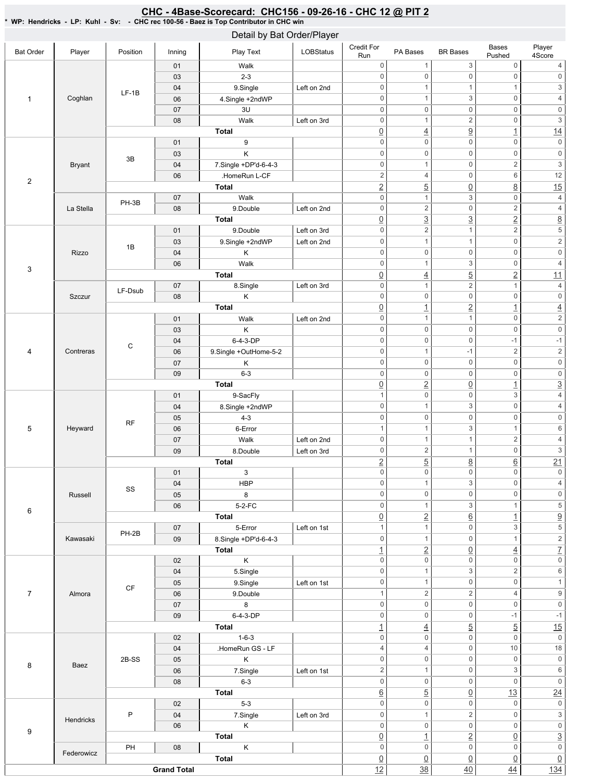## CHC - 4Base-Scorecard: CHC156 - 09-26-16 - CHC 12 @ PIT 2 \*WP:Hendricks-LP:Kuhl-Sv: -CHCrec100-56-BaezisTopContributorinCHCwin

|                  |               |                        |        | Detail by Bat Order/Player                                                                                                                                                                                                                                                                                                                                                                                                                                                                                                                                                                                                                                                                                                                                                                                                                                                                                                                                                                                                                                                                                                                                                                                                                                                                                                            |                  |                     |                     |                                                                                                                                                                                                                                                                                                                                                                                                                                                                                                                                                                                                                                                                                                                                                                                                                                                                                                                                                                                                                                                                                                                                                                                                                                                                                                                                                                                                                                                                                                                                                                                                                                                                                                                                                                                                                                                                                                                                                                                                                                                                                                                                                                                                                                                                                                                                                                                                                                                                                                                                                                                                                                                                                                                                                                                                                                     |                         |                                       |                     |
|------------------|---------------|------------------------|--------|---------------------------------------------------------------------------------------------------------------------------------------------------------------------------------------------------------------------------------------------------------------------------------------------------------------------------------------------------------------------------------------------------------------------------------------------------------------------------------------------------------------------------------------------------------------------------------------------------------------------------------------------------------------------------------------------------------------------------------------------------------------------------------------------------------------------------------------------------------------------------------------------------------------------------------------------------------------------------------------------------------------------------------------------------------------------------------------------------------------------------------------------------------------------------------------------------------------------------------------------------------------------------------------------------------------------------------------|------------------|---------------------|---------------------|-------------------------------------------------------------------------------------------------------------------------------------------------------------------------------------------------------------------------------------------------------------------------------------------------------------------------------------------------------------------------------------------------------------------------------------------------------------------------------------------------------------------------------------------------------------------------------------------------------------------------------------------------------------------------------------------------------------------------------------------------------------------------------------------------------------------------------------------------------------------------------------------------------------------------------------------------------------------------------------------------------------------------------------------------------------------------------------------------------------------------------------------------------------------------------------------------------------------------------------------------------------------------------------------------------------------------------------------------------------------------------------------------------------------------------------------------------------------------------------------------------------------------------------------------------------------------------------------------------------------------------------------------------------------------------------------------------------------------------------------------------------------------------------------------------------------------------------------------------------------------------------------------------------------------------------------------------------------------------------------------------------------------------------------------------------------------------------------------------------------------------------------------------------------------------------------------------------------------------------------------------------------------------------------------------------------------------------------------------------------------------------------------------------------------------------------------------------------------------------------------------------------------------------------------------------------------------------------------------------------------------------------------------------------------------------------------------------------------------------------------------------------------------------------------------------------------------------|-------------------------|---------------------------------------|---------------------|
| <b>Bat Order</b> | Player        | Position               | Inning | Play Text                                                                                                                                                                                                                                                                                                                                                                                                                                                                                                                                                                                                                                                                                                                                                                                                                                                                                                                                                                                                                                                                                                                                                                                                                                                                                                                             | <b>LOBStatus</b> | Credit For<br>Run   | PA Bases            | <b>BR</b> Bases                                                                                                                                                                                                                                                                                                                                                                                                                                                                                                                                                                                                                                                                                                                                                                                                                                                                                                                                                                                                                                                                                                                                                                                                                                                                                                                                                                                                                                                                                                                                                                                                                                                                                                                                                                                                                                                                                                                                                                                                                                                                                                                                                                                                                                                                                                                                                                                                                                                                                                                                                                                                                                                                                                                                                                                                                     | Bases<br>Pushed         | Player<br>4Score                      |                     |
|                  |               |                        | 01     | Walk                                                                                                                                                                                                                                                                                                                                                                                                                                                                                                                                                                                                                                                                                                                                                                                                                                                                                                                                                                                                                                                                                                                                                                                                                                                                                                                                  |                  | $\mathsf{O}\xspace$ | $\mathbf{1}$        | 3                                                                                                                                                                                                                                                                                                                                                                                                                                                                                                                                                                                                                                                                                                                                                                                                                                                                                                                                                                                                                                                                                                                                                                                                                                                                                                                                                                                                                                                                                                                                                                                                                                                                                                                                                                                                                                                                                                                                                                                                                                                                                                                                                                                                                                                                                                                                                                                                                                                                                                                                                                                                                                                                                                                                                                                                                                   | $\mathsf 0$             | 4                                     |                     |
|                  |               |                        | 03     | $2 - 3$                                                                                                                                                                                                                                                                                                                                                                                                                                                                                                                                                                                                                                                                                                                                                                                                                                                                                                                                                                                                                                                                                                                                                                                                                                                                                                                               |                  | $\boldsymbol{0}$    | $\mathsf{O}\xspace$ | $\mathbf 0$                                                                                                                                                                                                                                                                                                                                                                                                                                                                                                                                                                                                                                                                                                                                                                                                                                                                                                                                                                                                                                                                                                                                                                                                                                                                                                                                                                                                                                                                                                                                                                                                                                                                                                                                                                                                                                                                                                                                                                                                                                                                                                                                                                                                                                                                                                                                                                                                                                                                                                                                                                                                                                                                                                                                                                                                                         | $\mathsf 0$             | $\mathsf{O}\xspace$                   |                     |
|                  |               | $LF-1B$                | 04     | 9.Single                                                                                                                                                                                                                                                                                                                                                                                                                                                                                                                                                                                                                                                                                                                                                                                                                                                                                                                                                                                                                                                                                                                                                                                                                                                                                                                              | Left on 2nd      | $\boldsymbol{0}$    | $\mathbf{1}$        | 1                                                                                                                                                                                                                                                                                                                                                                                                                                                                                                                                                                                                                                                                                                                                                                                                                                                                                                                                                                                                                                                                                                                                                                                                                                                                                                                                                                                                                                                                                                                                                                                                                                                                                                                                                                                                                                                                                                                                                                                                                                                                                                                                                                                                                                                                                                                                                                                                                                                                                                                                                                                                                                                                                                                                                                                                                                   | $\mathbf{1}$            | $\ensuremath{\mathsf{3}}$             |                     |
| $\mathbf{1}$     | Coghlan       |                        | 06     | 4.Single +2ndWP                                                                                                                                                                                                                                                                                                                                                                                                                                                                                                                                                                                                                                                                                                                                                                                                                                                                                                                                                                                                                                                                                                                                                                                                                                                                                                                       |                  | $\boldsymbol{0}$    | $\mathbf{1}$        | 3                                                                                                                                                                                                                                                                                                                                                                                                                                                                                                                                                                                                                                                                                                                                                                                                                                                                                                                                                                                                                                                                                                                                                                                                                                                                                                                                                                                                                                                                                                                                                                                                                                                                                                                                                                                                                                                                                                                                                                                                                                                                                                                                                                                                                                                                                                                                                                                                                                                                                                                                                                                                                                                                                                                                                                                                                                   | $\mathsf 0$             | $\overline{4}$                        |                     |
|                  |               |                        | 07     | 3U                                                                                                                                                                                                                                                                                                                                                                                                                                                                                                                                                                                                                                                                                                                                                                                                                                                                                                                                                                                                                                                                                                                                                                                                                                                                                                                                    |                  | $\boldsymbol{0}$    | $\mathbf 0$         | $\mathbf 0$                                                                                                                                                                                                                                                                                                                                                                                                                                                                                                                                                                                                                                                                                                                                                                                                                                                                                                                                                                                                                                                                                                                                                                                                                                                                                                                                                                                                                                                                                                                                                                                                                                                                                                                                                                                                                                                                                                                                                                                                                                                                                                                                                                                                                                                                                                                                                                                                                                                                                                                                                                                                                                                                                                                                                                                                                         | $\mathsf 0$             | $\mathsf{O}\xspace$                   |                     |
|                  |               |                        | 08     | Walk                                                                                                                                                                                                                                                                                                                                                                                                                                                                                                                                                                                                                                                                                                                                                                                                                                                                                                                                                                                                                                                                                                                                                                                                                                                                                                                                  | Left on 3rd      | $\boldsymbol{0}$    | $\mathbf{1}$        | $\overline{c}$<br>$\mathsf 0$<br>$\overline{a}$<br>$\underline{4}$<br>$\overline{1}$<br>$\mathbf 0$<br>$\mathsf 0$<br>$\mathsf{O}\xspace$<br>$\mathsf{O}\xspace$<br>$\mathbf 0$<br>$\mathsf 0$<br>$\overline{c}$<br>$\mathbf 0$<br>$\mathbf{1}$<br>$\mathbf 0$<br>6<br>$\overline{4}$<br>$\overline{5}$<br>$\underline{8}$<br>$\underline{0}$<br>3<br>$\mathsf 0$<br>$\mathbf{1}$<br>$\overline{2}$<br>$\mathbf 0$<br>$\overline{c}$<br>$\underline{3}$<br>$\overline{3}$<br>$\overline{2}$<br>$\overline{2}$<br>$\overline{c}$<br>$\mathbf{1}$<br>$\mathsf 0$<br>$\mathbf{1}$<br>$\mathbf{1}$<br>$\mathbf 0$<br>$\mathsf 0$<br>$\mathbf 0$<br>3<br>$\mathsf 0$<br>$\mathbf{1}$<br>$\overline{5}$<br>$\overline{2}$<br>$\underline{4}$<br>$\overline{c}$<br>$\mathbf{1}$<br>$\mathbf{1}$<br>$\mathbf 0$<br>$\mathsf{O}\xspace$<br>$\mathsf 0$<br>$\overline{2}$<br>$\overline{1}$<br>$\overline{1}$<br>$\mathsf 0$<br>$\mathbf{1}$<br>$\mathbf{1}$<br>$\mathbf 0$<br>$\mathsf 0$<br>$\mathbf 0$<br>$\mathbf 0$<br>$\mathbf 0$<br>$-1$<br>$\sqrt{2}$<br>$\mathbf{1}$<br>$-1$<br>$\mathsf 0$<br>$\mathbf 0$<br>$\mathbf 0$<br>$\mathbf 0$<br>$\mathsf 0$<br>$\mathsf{0}$<br>$\underline{2}$<br>$\overline{0}$<br>$\overline{1}$<br>3<br>$\mathsf{O}\xspace$<br>$\mathbf 0$<br>3<br>$\mathsf 0$<br>$\mathbf{1}$<br>$\mathbf 0$<br>$\mathsf 0$<br>$\mathbf 0$<br>3<br>$\mathbf{1}$<br>$\mathbf{1}$<br>$\overline{c}$<br>$\mathbf{1}$<br>$\mathbf{1}$<br>$\sqrt{2}$<br>$\mathsf 0$<br>$\mathbf{1}$<br>$\overline{5}$<br>$\underline{8}$<br>$\underline{6}$<br>$\mathbf 0$<br>$\mathsf 0$<br>$\overline{0}$<br>3<br>$\mathsf 0$<br>$\mathbf{1}$<br>$\mathbf 0$<br>0<br>0<br>3<br>$\mathbf{1}$<br>$\mathbf{1}$<br>$\overline{2}$<br>$\underline{6}$<br>$\overline{1}$<br>$\mathbf{1}$<br>$\mathbf 0$<br>3<br>$\mathbf 0$<br>$\mathbf{1}$<br>$\mathbf{1}$<br>$\underline{2}$<br>$\underline{0}$<br>$\overline{4}$<br>$\mathbf 0$<br>$\boldsymbol{0}$<br>0<br>3<br>$\overline{2}$<br>$\mathbf{1}$<br>$\mathsf{O}\xspace$<br>$\mathsf 0$<br>$\mathbf{1}$<br>$\overline{2}$<br>$\overline{2}$<br>4<br>$\mathbf 0$<br>$\mathsf 0$<br>0<br>$\mathbf 0$<br>$\mathbf 0$<br>$-1$<br>$\overline{5}$<br>$\overline{5}$<br>$\overline{4}$<br>$\mathsf{O}\xspace$<br>$\mathsf 0$<br>$\mathbf 0$<br>$\mathbf 0$<br>10<br>4<br>$\mathbf 0$<br>$\mathbf 0$<br>$\boldsymbol{0}$<br>3<br>$\boldsymbol{0}$<br>$\mathbf{1}$<br>$\mathsf 0$<br>$\mathsf 0$<br>$\boldsymbol{0}$<br>$\overline{5}$<br>$\underline{0}$<br>13<br>$\mathsf{O}\xspace$<br>$\mathbf 0$<br>$\mathsf 0$<br>$\mathbf 2$<br>$\mathsf 0$<br>$\mathbf{1}$<br>$\mathbf 0$<br>$\boldsymbol{0}$<br>0<br>$\overline{2}$<br>$\underline{0}$<br>$\overline{1}$<br>$\mathbf 0$<br>$\mathsf 0$<br>$\mathbf 0$<br>$\underline{0}$<br>$\underline{0}$<br>$\underline{0}$<br>$\frac{38}{5}$<br>40<br>44 | $\overline{\mathbf{3}}$ |                                       |                     |
|                  |               |                        |        | <b>Total</b>                                                                                                                                                                                                                                                                                                                                                                                                                                                                                                                                                                                                                                                                                                                                                                                                                                                                                                                                                                                                                                                                                                                                                                                                                                                                                                                          |                  | $\underline{0}$     |                     |                                                                                                                                                                                                                                                                                                                                                                                                                                                                                                                                                                                                                                                                                                                                                                                                                                                                                                                                                                                                                                                                                                                                                                                                                                                                                                                                                                                                                                                                                                                                                                                                                                                                                                                                                                                                                                                                                                                                                                                                                                                                                                                                                                                                                                                                                                                                                                                                                                                                                                                                                                                                                                                                                                                                                                                                                                     |                         | 14                                    |                     |
|                  |               |                        | 01     | 9                                                                                                                                                                                                                                                                                                                                                                                                                                                                                                                                                                                                                                                                                                                                                                                                                                                                                                                                                                                                                                                                                                                                                                                                                                                                                                                                     |                  | $\mathsf 0$         |                     |                                                                                                                                                                                                                                                                                                                                                                                                                                                                                                                                                                                                                                                                                                                                                                                                                                                                                                                                                                                                                                                                                                                                                                                                                                                                                                                                                                                                                                                                                                                                                                                                                                                                                                                                                                                                                                                                                                                                                                                                                                                                                                                                                                                                                                                                                                                                                                                                                                                                                                                                                                                                                                                                                                                                                                                                                                     |                         | $\mathsf{O}\xspace$                   |                     |
|                  |               | 3B                     | 03     | Κ                                                                                                                                                                                                                                                                                                                                                                                                                                                                                                                                                                                                                                                                                                                                                                                                                                                                                                                                                                                                                                                                                                                                                                                                                                                                                                                                     |                  | $\mathsf 0$         |                     |                                                                                                                                                                                                                                                                                                                                                                                                                                                                                                                                                                                                                                                                                                                                                                                                                                                                                                                                                                                                                                                                                                                                                                                                                                                                                                                                                                                                                                                                                                                                                                                                                                                                                                                                                                                                                                                                                                                                                                                                                                                                                                                                                                                                                                                                                                                                                                                                                                                                                                                                                                                                                                                                                                                                                                                                                                     |                         | $\mathsf{O}\xspace$                   |                     |
|                  | <b>Bryant</b> |                        | 04     |                                                                                                                                                                                                                                                                                                                                                                                                                                                                                                                                                                                                                                                                                                                                                                                                                                                                                                                                                                                                                                                                                                                                                                                                                                                                                                                                       |                  | $\boldsymbol{0}$    |                     |                                                                                                                                                                                                                                                                                                                                                                                                                                                                                                                                                                                                                                                                                                                                                                                                                                                                                                                                                                                                                                                                                                                                                                                                                                                                                                                                                                                                                                                                                                                                                                                                                                                                                                                                                                                                                                                                                                                                                                                                                                                                                                                                                                                                                                                                                                                                                                                                                                                                                                                                                                                                                                                                                                                                                                                                                                     |                         | $\overline{\mathbf{3}}$               |                     |
| $\overline{2}$   |               |                        | 06     | .HomeRun L-CF                                                                                                                                                                                                                                                                                                                                                                                                                                                                                                                                                                                                                                                                                                                                                                                                                                                                                                                                                                                                                                                                                                                                                                                                                                                                                                                         |                  | $\sqrt{2}$          |                     |                                                                                                                                                                                                                                                                                                                                                                                                                                                                                                                                                                                                                                                                                                                                                                                                                                                                                                                                                                                                                                                                                                                                                                                                                                                                                                                                                                                                                                                                                                                                                                                                                                                                                                                                                                                                                                                                                                                                                                                                                                                                                                                                                                                                                                                                                                                                                                                                                                                                                                                                                                                                                                                                                                                                                                                                                                     |                         | 12                                    |                     |
|                  |               |                        |        | Total                                                                                                                                                                                                                                                                                                                                                                                                                                                                                                                                                                                                                                                                                                                                                                                                                                                                                                                                                                                                                                                                                                                                                                                                                                                                                                                                 |                  |                     |                     |                                                                                                                                                                                                                                                                                                                                                                                                                                                                                                                                                                                                                                                                                                                                                                                                                                                                                                                                                                                                                                                                                                                                                                                                                                                                                                                                                                                                                                                                                                                                                                                                                                                                                                                                                                                                                                                                                                                                                                                                                                                                                                                                                                                                                                                                                                                                                                                                                                                                                                                                                                                                                                                                                                                                                                                                                                     |                         | 15                                    |                     |
|                  |               | PH-3B                  |        |                                                                                                                                                                                                                                                                                                                                                                                                                                                                                                                                                                                                                                                                                                                                                                                                                                                                                                                                                                                                                                                                                                                                                                                                                                                                                                                                       |                  |                     |                     |                                                                                                                                                                                                                                                                                                                                                                                                                                                                                                                                                                                                                                                                                                                                                                                                                                                                                                                                                                                                                                                                                                                                                                                                                                                                                                                                                                                                                                                                                                                                                                                                                                                                                                                                                                                                                                                                                                                                                                                                                                                                                                                                                                                                                                                                                                                                                                                                                                                                                                                                                                                                                                                                                                                                                                                                                                     |                         | $\sqrt{4}$                            |                     |
|                  | La Stella     |                        |        |                                                                                                                                                                                                                                                                                                                                                                                                                                                                                                                                                                                                                                                                                                                                                                                                                                                                                                                                                                                                                                                                                                                                                                                                                                                                                                                                       |                  |                     |                     |                                                                                                                                                                                                                                                                                                                                                                                                                                                                                                                                                                                                                                                                                                                                                                                                                                                                                                                                                                                                                                                                                                                                                                                                                                                                                                                                                                                                                                                                                                                                                                                                                                                                                                                                                                                                                                                                                                                                                                                                                                                                                                                                                                                                                                                                                                                                                                                                                                                                                                                                                                                                                                                                                                                                                                                                                                     |                         | $\overline{4}$                        |                     |
|                  |               |                        |        |                                                                                                                                                                                                                                                                                                                                                                                                                                                                                                                                                                                                                                                                                                                                                                                                                                                                                                                                                                                                                                                                                                                                                                                                                                                                                                                                       |                  |                     |                     |                                                                                                                                                                                                                                                                                                                                                                                                                                                                                                                                                                                                                                                                                                                                                                                                                                                                                                                                                                                                                                                                                                                                                                                                                                                                                                                                                                                                                                                                                                                                                                                                                                                                                                                                                                                                                                                                                                                                                                                                                                                                                                                                                                                                                                                                                                                                                                                                                                                                                                                                                                                                                                                                                                                                                                                                                                     |                         | $\underline{8}$                       |                     |
|                  |               |                        |        |                                                                                                                                                                                                                                                                                                                                                                                                                                                                                                                                                                                                                                                                                                                                                                                                                                                                                                                                                                                                                                                                                                                                                                                                                                                                                                                                       |                  |                     |                     |                                                                                                                                                                                                                                                                                                                                                                                                                                                                                                                                                                                                                                                                                                                                                                                                                                                                                                                                                                                                                                                                                                                                                                                                                                                                                                                                                                                                                                                                                                                                                                                                                                                                                                                                                                                                                                                                                                                                                                                                                                                                                                                                                                                                                                                                                                                                                                                                                                                                                                                                                                                                                                                                                                                                                                                                                                     |                         | $\overline{\mathbf{5}}$               |                     |
| 3                |               | 1B                     |        |                                                                                                                                                                                                                                                                                                                                                                                                                                                                                                                                                                                                                                                                                                                                                                                                                                                                                                                                                                                                                                                                                                                                                                                                                                                                                                                                       |                  |                     |                     |                                                                                                                                                                                                                                                                                                                                                                                                                                                                                                                                                                                                                                                                                                                                                                                                                                                                                                                                                                                                                                                                                                                                                                                                                                                                                                                                                                                                                                                                                                                                                                                                                                                                                                                                                                                                                                                                                                                                                                                                                                                                                                                                                                                                                                                                                                                                                                                                                                                                                                                                                                                                                                                                                                                                                                                                                                     |                         | $\overline{2}$                        |                     |
|                  | Rizzo         |                        |        |                                                                                                                                                                                                                                                                                                                                                                                                                                                                                                                                                                                                                                                                                                                                                                                                                                                                                                                                                                                                                                                                                                                                                                                                                                                                                                                                       |                  |                     |                     |                                                                                                                                                                                                                                                                                                                                                                                                                                                                                                                                                                                                                                                                                                                                                                                                                                                                                                                                                                                                                                                                                                                                                                                                                                                                                                                                                                                                                                                                                                                                                                                                                                                                                                                                                                                                                                                                                                                                                                                                                                                                                                                                                                                                                                                                                                                                                                                                                                                                                                                                                                                                                                                                                                                                                                                                                                     |                         | $\mathsf{O}\xspace$                   |                     |
|                  |               |                        |        |                                                                                                                                                                                                                                                                                                                                                                                                                                                                                                                                                                                                                                                                                                                                                                                                                                                                                                                                                                                                                                                                                                                                                                                                                                                                                                                                       |                  |                     |                     |                                                                                                                                                                                                                                                                                                                                                                                                                                                                                                                                                                                                                                                                                                                                                                                                                                                                                                                                                                                                                                                                                                                                                                                                                                                                                                                                                                                                                                                                                                                                                                                                                                                                                                                                                                                                                                                                                                                                                                                                                                                                                                                                                                                                                                                                                                                                                                                                                                                                                                                                                                                                                                                                                                                                                                                                                                     |                         | $\overline{4}$                        |                     |
|                  |               |                        |        |                                                                                                                                                                                                                                                                                                                                                                                                                                                                                                                                                                                                                                                                                                                                                                                                                                                                                                                                                                                                                                                                                                                                                                                                                                                                                                                                       |                  |                     |                     |                                                                                                                                                                                                                                                                                                                                                                                                                                                                                                                                                                                                                                                                                                                                                                                                                                                                                                                                                                                                                                                                                                                                                                                                                                                                                                                                                                                                                                                                                                                                                                                                                                                                                                                                                                                                                                                                                                                                                                                                                                                                                                                                                                                                                                                                                                                                                                                                                                                                                                                                                                                                                                                                                                                                                                                                                                     |                         | 11                                    |                     |
|                  |               | LF-Dsub                |        |                                                                                                                                                                                                                                                                                                                                                                                                                                                                                                                                                                                                                                                                                                                                                                                                                                                                                                                                                                                                                                                                                                                                                                                                                                                                                                                                       |                  |                     |                     |                                                                                                                                                                                                                                                                                                                                                                                                                                                                                                                                                                                                                                                                                                                                                                                                                                                                                                                                                                                                                                                                                                                                                                                                                                                                                                                                                                                                                                                                                                                                                                                                                                                                                                                                                                                                                                                                                                                                                                                                                                                                                                                                                                                                                                                                                                                                                                                                                                                                                                                                                                                                                                                                                                                                                                                                                                     |                         | $\overline{4}$                        |                     |
|                  | <b>Szczur</b> |                        |        |                                                                                                                                                                                                                                                                                                                                                                                                                                                                                                                                                                                                                                                                                                                                                                                                                                                                                                                                                                                                                                                                                                                                                                                                                                                                                                                                       |                  |                     |                     |                                                                                                                                                                                                                                                                                                                                                                                                                                                                                                                                                                                                                                                                                                                                                                                                                                                                                                                                                                                                                                                                                                                                                                                                                                                                                                                                                                                                                                                                                                                                                                                                                                                                                                                                                                                                                                                                                                                                                                                                                                                                                                                                                                                                                                                                                                                                                                                                                                                                                                                                                                                                                                                                                                                                                                                                                                     |                         | $\mathsf{O}\xspace$                   |                     |
|                  |               |                        |        |                                                                                                                                                                                                                                                                                                                                                                                                                                                                                                                                                                                                                                                                                                                                                                                                                                                                                                                                                                                                                                                                                                                                                                                                                                                                                                                                       |                  |                     |                     |                                                                                                                                                                                                                                                                                                                                                                                                                                                                                                                                                                                                                                                                                                                                                                                                                                                                                                                                                                                                                                                                                                                                                                                                                                                                                                                                                                                                                                                                                                                                                                                                                                                                                                                                                                                                                                                                                                                                                                                                                                                                                                                                                                                                                                                                                                                                                                                                                                                                                                                                                                                                                                                                                                                                                                                                                                     |                         | $\underline{4}$                       |                     |
| 4                |               |                        |        |                                                                                                                                                                                                                                                                                                                                                                                                                                                                                                                                                                                                                                                                                                                                                                                                                                                                                                                                                                                                                                                                                                                                                                                                                                                                                                                                       |                  |                     |                     |                                                                                                                                                                                                                                                                                                                                                                                                                                                                                                                                                                                                                                                                                                                                                                                                                                                                                                                                                                                                                                                                                                                                                                                                                                                                                                                                                                                                                                                                                                                                                                                                                                                                                                                                                                                                                                                                                                                                                                                                                                                                                                                                                                                                                                                                                                                                                                                                                                                                                                                                                                                                                                                                                                                                                                                                                                     |                         | $\overline{2}$                        |                     |
|                  |               | С                      |        |                                                                                                                                                                                                                                                                                                                                                                                                                                                                                                                                                                                                                                                                                                                                                                                                                                                                                                                                                                                                                                                                                                                                                                                                                                                                                                                                       |                  |                     |                     |                                                                                                                                                                                                                                                                                                                                                                                                                                                                                                                                                                                                                                                                                                                                                                                                                                                                                                                                                                                                                                                                                                                                                                                                                                                                                                                                                                                                                                                                                                                                                                                                                                                                                                                                                                                                                                                                                                                                                                                                                                                                                                                                                                                                                                                                                                                                                                                                                                                                                                                                                                                                                                                                                                                                                                                                                                     |                         | $\mathsf{O}\xspace$                   |                     |
|                  |               |                        |        |                                                                                                                                                                                                                                                                                                                                                                                                                                                                                                                                                                                                                                                                                                                                                                                                                                                                                                                                                                                                                                                                                                                                                                                                                                                                                                                                       |                  |                     |                     |                                                                                                                                                                                                                                                                                                                                                                                                                                                                                                                                                                                                                                                                                                                                                                                                                                                                                                                                                                                                                                                                                                                                                                                                                                                                                                                                                                                                                                                                                                                                                                                                                                                                                                                                                                                                                                                                                                                                                                                                                                                                                                                                                                                                                                                                                                                                                                                                                                                                                                                                                                                                                                                                                                                                                                                                                                     |                         | $-1$                                  |                     |
|                  | Contreras     |                        |        |                                                                                                                                                                                                                                                                                                                                                                                                                                                                                                                                                                                                                                                                                                                                                                                                                                                                                                                                                                                                                                                                                                                                                                                                                                                                                                                                       |                  |                     |                     |                                                                                                                                                                                                                                                                                                                                                                                                                                                                                                                                                                                                                                                                                                                                                                                                                                                                                                                                                                                                                                                                                                                                                                                                                                                                                                                                                                                                                                                                                                                                                                                                                                                                                                                                                                                                                                                                                                                                                                                                                                                                                                                                                                                                                                                                                                                                                                                                                                                                                                                                                                                                                                                                                                                                                                                                                                     |                         | $\sqrt{2}$<br>$\overline{\mathbf{0}}$ |                     |
|                  |               |                        |        |                                                                                                                                                                                                                                                                                                                                                                                                                                                                                                                                                                                                                                                                                                                                                                                                                                                                                                                                                                                                                                                                                                                                                                                                                                                                                                                                       |                  |                     |                     |                                                                                                                                                                                                                                                                                                                                                                                                                                                                                                                                                                                                                                                                                                                                                                                                                                                                                                                                                                                                                                                                                                                                                                                                                                                                                                                                                                                                                                                                                                                                                                                                                                                                                                                                                                                                                                                                                                                                                                                                                                                                                                                                                                                                                                                                                                                                                                                                                                                                                                                                                                                                                                                                                                                                                                                                                                     |                         |                                       |                     |
|                  |               |                        |        |                                                                                                                                                                                                                                                                                                                                                                                                                                                                                                                                                                                                                                                                                                                                                                                                                                                                                                                                                                                                                                                                                                                                                                                                                                                                                                                                       |                  |                     |                     |                                                                                                                                                                                                                                                                                                                                                                                                                                                                                                                                                                                                                                                                                                                                                                                                                                                                                                                                                                                                                                                                                                                                                                                                                                                                                                                                                                                                                                                                                                                                                                                                                                                                                                                                                                                                                                                                                                                                                                                                                                                                                                                                                                                                                                                                                                                                                                                                                                                                                                                                                                                                                                                                                                                                                                                                                                     |                         | $\mathsf{O}\xspace$                   |                     |
|                  |               |                        |        |                                                                                                                                                                                                                                                                                                                                                                                                                                                                                                                                                                                                                                                                                                                                                                                                                                                                                                                                                                                                                                                                                                                                                                                                                                                                                                                                       |                  |                     |                     |                                                                                                                                                                                                                                                                                                                                                                                                                                                                                                                                                                                                                                                                                                                                                                                                                                                                                                                                                                                                                                                                                                                                                                                                                                                                                                                                                                                                                                                                                                                                                                                                                                                                                                                                                                                                                                                                                                                                                                                                                                                                                                                                                                                                                                                                                                                                                                                                                                                                                                                                                                                                                                                                                                                                                                                                                                     |                         | $\underline{3}$<br>$\overline{4}$     |                     |
| 5                |               |                        |        |                                                                                                                                                                                                                                                                                                                                                                                                                                                                                                                                                                                                                                                                                                                                                                                                                                                                                                                                                                                                                                                                                                                                                                                                                                                                                                                                       |                  |                     |                     |                                                                                                                                                                                                                                                                                                                                                                                                                                                                                                                                                                                                                                                                                                                                                                                                                                                                                                                                                                                                                                                                                                                                                                                                                                                                                                                                                                                                                                                                                                                                                                                                                                                                                                                                                                                                                                                                                                                                                                                                                                                                                                                                                                                                                                                                                                                                                                                                                                                                                                                                                                                                                                                                                                                                                                                                                                     |                         | $\overline{4}$                        |                     |
|                  |               |                        |        |                                                                                                                                                                                                                                                                                                                                                                                                                                                                                                                                                                                                                                                                                                                                                                                                                                                                                                                                                                                                                                                                                                                                                                                                                                                                                                                                       |                  |                     |                     |                                                                                                                                                                                                                                                                                                                                                                                                                                                                                                                                                                                                                                                                                                                                                                                                                                                                                                                                                                                                                                                                                                                                                                                                                                                                                                                                                                                                                                                                                                                                                                                                                                                                                                                                                                                                                                                                                                                                                                                                                                                                                                                                                                                                                                                                                                                                                                                                                                                                                                                                                                                                                                                                                                                                                                                                                                     |                         | $\mathsf{O}\xspace$                   |                     |
|                  | Heyward       | <b>RF</b>              |        |                                                                                                                                                                                                                                                                                                                                                                                                                                                                                                                                                                                                                                                                                                                                                                                                                                                                                                                                                                                                                                                                                                                                                                                                                                                                                                                                       |                  |                     |                     |                                                                                                                                                                                                                                                                                                                                                                                                                                                                                                                                                                                                                                                                                                                                                                                                                                                                                                                                                                                                                                                                                                                                                                                                                                                                                                                                                                                                                                                                                                                                                                                                                                                                                                                                                                                                                                                                                                                                                                                                                                                                                                                                                                                                                                                                                                                                                                                                                                                                                                                                                                                                                                                                                                                                                                                                                                     |                         | $\,6\,$                               |                     |
|                  |               |                        |        |                                                                                                                                                                                                                                                                                                                                                                                                                                                                                                                                                                                                                                                                                                                                                                                                                                                                                                                                                                                                                                                                                                                                                                                                                                                                                                                                       |                  |                     |                     |                                                                                                                                                                                                                                                                                                                                                                                                                                                                                                                                                                                                                                                                                                                                                                                                                                                                                                                                                                                                                                                                                                                                                                                                                                                                                                                                                                                                                                                                                                                                                                                                                                                                                                                                                                                                                                                                                                                                                                                                                                                                                                                                                                                                                                                                                                                                                                                                                                                                                                                                                                                                                                                                                                                                                                                                                                     |                         | $\overline{4}$                        |                     |
|                  |               |                        |        |                                                                                                                                                                                                                                                                                                                                                                                                                                                                                                                                                                                                                                                                                                                                                                                                                                                                                                                                                                                                                                                                                                                                                                                                                                                                                                                                       |                  |                     |                     |                                                                                                                                                                                                                                                                                                                                                                                                                                                                                                                                                                                                                                                                                                                                                                                                                                                                                                                                                                                                                                                                                                                                                                                                                                                                                                                                                                                                                                                                                                                                                                                                                                                                                                                                                                                                                                                                                                                                                                                                                                                                                                                                                                                                                                                                                                                                                                                                                                                                                                                                                                                                                                                                                                                                                                                                                                     |                         | $\overline{\mathbf{3}}$               |                     |
|                  |               |                        |        |                                                                                                                                                                                                                                                                                                                                                                                                                                                                                                                                                                                                                                                                                                                                                                                                                                                                                                                                                                                                                                                                                                                                                                                                                                                                                                                                       |                  |                     |                     |                                                                                                                                                                                                                                                                                                                                                                                                                                                                                                                                                                                                                                                                                                                                                                                                                                                                                                                                                                                                                                                                                                                                                                                                                                                                                                                                                                                                                                                                                                                                                                                                                                                                                                                                                                                                                                                                                                                                                                                                                                                                                                                                                                                                                                                                                                                                                                                                                                                                                                                                                                                                                                                                                                                                                                                                                                     |                         | $\overline{21}$                       |                     |
|                  |               |                        |        |                                                                                                                                                                                                                                                                                                                                                                                                                                                                                                                                                                                                                                                                                                                                                                                                                                                                                                                                                                                                                                                                                                                                                                                                                                                                                                                                       |                  |                     |                     |                                                                                                                                                                                                                                                                                                                                                                                                                                                                                                                                                                                                                                                                                                                                                                                                                                                                                                                                                                                                                                                                                                                                                                                                                                                                                                                                                                                                                                                                                                                                                                                                                                                                                                                                                                                                                                                                                                                                                                                                                                                                                                                                                                                                                                                                                                                                                                                                                                                                                                                                                                                                                                                                                                                                                                                                                                     |                         | 0                                     |                     |
|                  |               |                        |        |                                                                                                                                                                                                                                                                                                                                                                                                                                                                                                                                                                                                                                                                                                                                                                                                                                                                                                                                                                                                                                                                                                                                                                                                                                                                                                                                       |                  | $\mathsf 0$         |                     |                                                                                                                                                                                                                                                                                                                                                                                                                                                                                                                                                                                                                                                                                                                                                                                                                                                                                                                                                                                                                                                                                                                                                                                                                                                                                                                                                                                                                                                                                                                                                                                                                                                                                                                                                                                                                                                                                                                                                                                                                                                                                                                                                                                                                                                                                                                                                                                                                                                                                                                                                                                                                                                                                                                                                                                                                                     |                         | 4                                     |                     |
|                  | Russell       | SS                     |        |                                                                                                                                                                                                                                                                                                                                                                                                                                                                                                                                                                                                                                                                                                                                                                                                                                                                                                                                                                                                                                                                                                                                                                                                                                                                                                                                       |                  |                     | 0                   |                                                                                                                                                                                                                                                                                                                                                                                                                                                                                                                                                                                                                                                                                                                                                                                                                                                                                                                                                                                                                                                                                                                                                                                                                                                                                                                                                                                                                                                                                                                                                                                                                                                                                                                                                                                                                                                                                                                                                                                                                                                                                                                                                                                                                                                                                                                                                                                                                                                                                                                                                                                                                                                                                                                                                                                                                                     |                         |                                       | $\mathsf{O}\xspace$ |
|                  |               |                        |        |                                                                                                                                                                                                                                                                                                                                                                                                                                                                                                                                                                                                                                                                                                                                                                                                                                                                                                                                                                                                                                                                                                                                                                                                                                                                                                                                       |                  | $\mathbf 0$         |                     |                                                                                                                                                                                                                                                                                                                                                                                                                                                                                                                                                                                                                                                                                                                                                                                                                                                                                                                                                                                                                                                                                                                                                                                                                                                                                                                                                                                                                                                                                                                                                                                                                                                                                                                                                                                                                                                                                                                                                                                                                                                                                                                                                                                                                                                                                                                                                                                                                                                                                                                                                                                                                                                                                                                                                                                                                                     |                         | $\overline{\mathbf{5}}$               |                     |
| 6                |               |                        |        |                                                                                                                                                                                                                                                                                                                                                                                                                                                                                                                                                                                                                                                                                                                                                                                                                                                                                                                                                                                                                                                                                                                                                                                                                                                                                                                                       |                  |                     |                     |                                                                                                                                                                                                                                                                                                                                                                                                                                                                                                                                                                                                                                                                                                                                                                                                                                                                                                                                                                                                                                                                                                                                                                                                                                                                                                                                                                                                                                                                                                                                                                                                                                                                                                                                                                                                                                                                                                                                                                                                                                                                                                                                                                                                                                                                                                                                                                                                                                                                                                                                                                                                                                                                                                                                                                                                                                     |                         |                                       |                     |
|                  |               |                        |        |                                                                                                                                                                                                                                                                                                                                                                                                                                                                                                                                                                                                                                                                                                                                                                                                                                                                                                                                                                                                                                                                                                                                                                                                                                                                                                                                       |                  | $\mathbf{1}$        |                     |                                                                                                                                                                                                                                                                                                                                                                                                                                                                                                                                                                                                                                                                                                                                                                                                                                                                                                                                                                                                                                                                                                                                                                                                                                                                                                                                                                                                                                                                                                                                                                                                                                                                                                                                                                                                                                                                                                                                                                                                                                                                                                                                                                                                                                                                                                                                                                                                                                                                                                                                                                                                                                                                                                                                                                                                                                     |                         | $\frac{9}{5}$                         |                     |
|                  | Kawasaki      | PH-2B                  | 09     |                                                                                                                                                                                                                                                                                                                                                                                                                                                                                                                                                                                                                                                                                                                                                                                                                                                                                                                                                                                                                                                                                                                                                                                                                                                                                                                                       |                  | $\mathsf 0$         |                     |                                                                                                                                                                                                                                                                                                                                                                                                                                                                                                                                                                                                                                                                                                                                                                                                                                                                                                                                                                                                                                                                                                                                                                                                                                                                                                                                                                                                                                                                                                                                                                                                                                                                                                                                                                                                                                                                                                                                                                                                                                                                                                                                                                                                                                                                                                                                                                                                                                                                                                                                                                                                                                                                                                                                                                                                                                     |                         | $\overline{2}$                        |                     |
|                  |               |                        |        | Total                                                                                                                                                                                                                                                                                                                                                                                                                                                                                                                                                                                                                                                                                                                                                                                                                                                                                                                                                                                                                                                                                                                                                                                                                                                                                                                                 |                  |                     |                     |                                                                                                                                                                                                                                                                                                                                                                                                                                                                                                                                                                                                                                                                                                                                                                                                                                                                                                                                                                                                                                                                                                                                                                                                                                                                                                                                                                                                                                                                                                                                                                                                                                                                                                                                                                                                                                                                                                                                                                                                                                                                                                                                                                                                                                                                                                                                                                                                                                                                                                                                                                                                                                                                                                                                                                                                                                     |                         | $\overline{Z}$                        |                     |
|                  |               |                        | 02     | Κ                                                                                                                                                                                                                                                                                                                                                                                                                                                                                                                                                                                                                                                                                                                                                                                                                                                                                                                                                                                                                                                                                                                                                                                                                                                                                                                                     |                  | $\mathsf 0$         |                     |                                                                                                                                                                                                                                                                                                                                                                                                                                                                                                                                                                                                                                                                                                                                                                                                                                                                                                                                                                                                                                                                                                                                                                                                                                                                                                                                                                                                                                                                                                                                                                                                                                                                                                                                                                                                                                                                                                                                                                                                                                                                                                                                                                                                                                                                                                                                                                                                                                                                                                                                                                                                                                                                                                                                                                                                                                     |                         | $\mathsf{O}\xspace$                   |                     |
|                  |               |                        | 04     | 5.Single                                                                                                                                                                                                                                                                                                                                                                                                                                                                                                                                                                                                                                                                                                                                                                                                                                                                                                                                                                                                                                                                                                                                                                                                                                                                                                                              |                  | $\mathsf 0$         |                     |                                                                                                                                                                                                                                                                                                                                                                                                                                                                                                                                                                                                                                                                                                                                                                                                                                                                                                                                                                                                                                                                                                                                                                                                                                                                                                                                                                                                                                                                                                                                                                                                                                                                                                                                                                                                                                                                                                                                                                                                                                                                                                                                                                                                                                                                                                                                                                                                                                                                                                                                                                                                                                                                                                                                                                                                                                     |                         | $\overline{6}$                        |                     |
|                  |               |                        | 05     | 9.Single                                                                                                                                                                                                                                                                                                                                                                                                                                                                                                                                                                                                                                                                                                                                                                                                                                                                                                                                                                                                                                                                                                                                                                                                                                                                                                                              | Left on 1st      | $\mathsf 0$         |                     |                                                                                                                                                                                                                                                                                                                                                                                                                                                                                                                                                                                                                                                                                                                                                                                                                                                                                                                                                                                                                                                                                                                                                                                                                                                                                                                                                                                                                                                                                                                                                                                                                                                                                                                                                                                                                                                                                                                                                                                                                                                                                                                                                                                                                                                                                                                                                                                                                                                                                                                                                                                                                                                                                                                                                                                                                                     |                         | $\mathbf{1}$                          |                     |
| $\overline{7}$   | Almora        | $\mathsf{C}\mathsf{F}$ | 06     | 9.Double                                                                                                                                                                                                                                                                                                                                                                                                                                                                                                                                                                                                                                                                                                                                                                                                                                                                                                                                                                                                                                                                                                                                                                                                                                                                                                                              |                  | 1                   |                     |                                                                                                                                                                                                                                                                                                                                                                                                                                                                                                                                                                                                                                                                                                                                                                                                                                                                                                                                                                                                                                                                                                                                                                                                                                                                                                                                                                                                                                                                                                                                                                                                                                                                                                                                                                                                                                                                                                                                                                                                                                                                                                                                                                                                                                                                                                                                                                                                                                                                                                                                                                                                                                                                                                                                                                                                                                     |                         | $\boldsymbol{9}$                      |                     |
|                  |               |                        | 07     | 8                                                                                                                                                                                                                                                                                                                                                                                                                                                                                                                                                                                                                                                                                                                                                                                                                                                                                                                                                                                                                                                                                                                                                                                                                                                                                                                                     |                  | $\mathsf 0$         |                     |                                                                                                                                                                                                                                                                                                                                                                                                                                                                                                                                                                                                                                                                                                                                                                                                                                                                                                                                                                                                                                                                                                                                                                                                                                                                                                                                                                                                                                                                                                                                                                                                                                                                                                                                                                                                                                                                                                                                                                                                                                                                                                                                                                                                                                                                                                                                                                                                                                                                                                                                                                                                                                                                                                                                                                                                                                     |                         | $\mathsf{O}\xspace$                   |                     |
|                  |               |                        | 09     | 6-4-3-DP                                                                                                                                                                                                                                                                                                                                                                                                                                                                                                                                                                                                                                                                                                                                                                                                                                                                                                                                                                                                                                                                                                                                                                                                                                                                                                                              |                  | $\mathsf 0$         |                     |                                                                                                                                                                                                                                                                                                                                                                                                                                                                                                                                                                                                                                                                                                                                                                                                                                                                                                                                                                                                                                                                                                                                                                                                                                                                                                                                                                                                                                                                                                                                                                                                                                                                                                                                                                                                                                                                                                                                                                                                                                                                                                                                                                                                                                                                                                                                                                                                                                                                                                                                                                                                                                                                                                                                                                                                                                     |                         | $-1$                                  |                     |
|                  |               |                        |        | Total                                                                                                                                                                                                                                                                                                                                                                                                                                                                                                                                                                                                                                                                                                                                                                                                                                                                                                                                                                                                                                                                                                                                                                                                                                                                                                                                 |                  | $\overline{1}$      |                     |                                                                                                                                                                                                                                                                                                                                                                                                                                                                                                                                                                                                                                                                                                                                                                                                                                                                                                                                                                                                                                                                                                                                                                                                                                                                                                                                                                                                                                                                                                                                                                                                                                                                                                                                                                                                                                                                                                                                                                                                                                                                                                                                                                                                                                                                                                                                                                                                                                                                                                                                                                                                                                                                                                                                                                                                                                     |                         | 15                                    |                     |
|                  |               |                        | 02     | $1 - 6 - 3$                                                                                                                                                                                                                                                                                                                                                                                                                                                                                                                                                                                                                                                                                                                                                                                                                                                                                                                                                                                                                                                                                                                                                                                                                                                                                                                           |                  | $\mathbf 0$         |                     |                                                                                                                                                                                                                                                                                                                                                                                                                                                                                                                                                                                                                                                                                                                                                                                                                                                                                                                                                                                                                                                                                                                                                                                                                                                                                                                                                                                                                                                                                                                                                                                                                                                                                                                                                                                                                                                                                                                                                                                                                                                                                                                                                                                                                                                                                                                                                                                                                                                                                                                                                                                                                                                                                                                                                                                                                                     |                         | $\mathsf{O}\xspace$                   |                     |
|                  |               |                        | 04     | .HomeRun GS - LF                                                                                                                                                                                                                                                                                                                                                                                                                                                                                                                                                                                                                                                                                                                                                                                                                                                                                                                                                                                                                                                                                                                                                                                                                                                                                                                      |                  | 4                   |                     |                                                                                                                                                                                                                                                                                                                                                                                                                                                                                                                                                                                                                                                                                                                                                                                                                                                                                                                                                                                                                                                                                                                                                                                                                                                                                                                                                                                                                                                                                                                                                                                                                                                                                                                                                                                                                                                                                                                                                                                                                                                                                                                                                                                                                                                                                                                                                                                                                                                                                                                                                                                                                                                                                                                                                                                                                                     |                         | $18$                                  |                     |
| 8                | Baez          | 2B-SS                  | 05     | $\sf K$                                                                                                                                                                                                                                                                                                                                                                                                                                                                                                                                                                                                                                                                                                                                                                                                                                                                                                                                                                                                                                                                                                                                                                                                                                                                                                                               |                  | $\mathsf 0$         |                     |                                                                                                                                                                                                                                                                                                                                                                                                                                                                                                                                                                                                                                                                                                                                                                                                                                                                                                                                                                                                                                                                                                                                                                                                                                                                                                                                                                                                                                                                                                                                                                                                                                                                                                                                                                                                                                                                                                                                                                                                                                                                                                                                                                                                                                                                                                                                                                                                                                                                                                                                                                                                                                                                                                                                                                                                                                     |                         | $\mathsf{O}\xspace$                   |                     |
|                  |               |                        | 06     | 7.Single                                                                                                                                                                                                                                                                                                                                                                                                                                                                                                                                                                                                                                                                                                                                                                                                                                                                                                                                                                                                                                                                                                                                                                                                                                                                                                                              | Left on 1st      | $\overline{2}$      |                     |                                                                                                                                                                                                                                                                                                                                                                                                                                                                                                                                                                                                                                                                                                                                                                                                                                                                                                                                                                                                                                                                                                                                                                                                                                                                                                                                                                                                                                                                                                                                                                                                                                                                                                                                                                                                                                                                                                                                                                                                                                                                                                                                                                                                                                                                                                                                                                                                                                                                                                                                                                                                                                                                                                                                                                                                                                     |                         | $\,6\,$                               |                     |
|                  |               |                        | 08     | $6 - 3$                                                                                                                                                                                                                                                                                                                                                                                                                                                                                                                                                                                                                                                                                                                                                                                                                                                                                                                                                                                                                                                                                                                                                                                                                                                                                                                               |                  | $\boldsymbol{0}$    |                     |                                                                                                                                                                                                                                                                                                                                                                                                                                                                                                                                                                                                                                                                                                                                                                                                                                                                                                                                                                                                                                                                                                                                                                                                                                                                                                                                                                                                                                                                                                                                                                                                                                                                                                                                                                                                                                                                                                                                                                                                                                                                                                                                                                                                                                                                                                                                                                                                                                                                                                                                                                                                                                                                                                                                                                                                                                     |                         | $\mathsf{O}\xspace$                   |                     |
|                  |               |                        |        | <b>Total</b>                                                                                                                                                                                                                                                                                                                                                                                                                                                                                                                                                                                                                                                                                                                                                                                                                                                                                                                                                                                                                                                                                                                                                                                                                                                                                                                          |                  | $\underline{6}$     |                     |                                                                                                                                                                                                                                                                                                                                                                                                                                                                                                                                                                                                                                                                                                                                                                                                                                                                                                                                                                                                                                                                                                                                                                                                                                                                                                                                                                                                                                                                                                                                                                                                                                                                                                                                                                                                                                                                                                                                                                                                                                                                                                                                                                                                                                                                                                                                                                                                                                                                                                                                                                                                                                                                                                                                                                                                                                     |                         | 24                                    |                     |
|                  |               |                        | 02     | $5 - 3$                                                                                                                                                                                                                                                                                                                                                                                                                                                                                                                                                                                                                                                                                                                                                                                                                                                                                                                                                                                                                                                                                                                                                                                                                                                                                                                               |                  | $\mathsf{O}\xspace$ |                     |                                                                                                                                                                                                                                                                                                                                                                                                                                                                                                                                                                                                                                                                                                                                                                                                                                                                                                                                                                                                                                                                                                                                                                                                                                                                                                                                                                                                                                                                                                                                                                                                                                                                                                                                                                                                                                                                                                                                                                                                                                                                                                                                                                                                                                                                                                                                                                                                                                                                                                                                                                                                                                                                                                                                                                                                                                     |                         | $\mathsf{O}\xspace$                   |                     |
|                  | Hendricks     | P                      | 04     | 7.Single                                                                                                                                                                                                                                                                                                                                                                                                                                                                                                                                                                                                                                                                                                                                                                                                                                                                                                                                                                                                                                                                                                                                                                                                                                                                                                                              | Left on 3rd      | $\mathsf 0$         |                     |                                                                                                                                                                                                                                                                                                                                                                                                                                                                                                                                                                                                                                                                                                                                                                                                                                                                                                                                                                                                                                                                                                                                                                                                                                                                                                                                                                                                                                                                                                                                                                                                                                                                                                                                                                                                                                                                                                                                                                                                                                                                                                                                                                                                                                                                                                                                                                                                                                                                                                                                                                                                                                                                                                                                                                                                                                     |                         | $\overline{3}$                        |                     |
| 9                |               |                        | 06     |                                                                                                                                                                                                                                                                                                                                                                                                                                                                                                                                                                                                                                                                                                                                                                                                                                                                                                                                                                                                                                                                                                                                                                                                                                                                                                                                       |                  | $\mathbf 0$         |                     |                                                                                                                                                                                                                                                                                                                                                                                                                                                                                                                                                                                                                                                                                                                                                                                                                                                                                                                                                                                                                                                                                                                                                                                                                                                                                                                                                                                                                                                                                                                                                                                                                                                                                                                                                                                                                                                                                                                                                                                                                                                                                                                                                                                                                                                                                                                                                                                                                                                                                                                                                                                                                                                                                                                                                                                                                                     |                         | $\mathsf{O}\xspace$                   |                     |
|                  |               |                        |        | 7.Single +DP'd-6-4-3<br>$\underline{2}$<br>Walk<br>$\mathbf 0$<br>07<br>$\mathbf 0$<br>9.Double<br>08<br>Left on 2nd<br>$\underline{0}$<br><b>Total</b><br>$\mathsf 0$<br>9.Double<br>01<br>Left on 3rd<br>$\boldsymbol{0}$<br>9.Single +2ndWP<br>03<br>Left on 2nd<br>$\boldsymbol{0}$<br>Κ<br>04<br>$\boldsymbol{0}$<br>Walk<br>06<br>$\underline{0}$<br><b>Total</b><br>Left on 3rd<br>07<br>8.Single<br>$\boldsymbol{0}$<br>$\mathsf 0$<br>Κ<br>08<br><b>Total</b><br>$\underline{0}$<br>$\mathsf 0$<br>Walk<br>Left on 2nd<br>01<br>Κ<br>$\boldsymbol{0}$<br>03<br>$\mathsf 0$<br>6-4-3-DP<br>04<br>$\mathsf 0$<br>06<br>9.Single +OutHome-5-2<br>$\mathsf 0$<br>07<br>Κ<br>$6 - 3$<br>09<br>$\boldsymbol{0}$<br>Total<br>$\underline{0}$<br>9-SacFly<br>$\mathbf{1}$<br>01<br>$\mathbf 0$<br>04<br>8.Single +2ndWP<br>$\mathsf 0$<br>$4 - 3$<br>05<br>1<br>06<br>6-Error<br>$\boldsymbol{0}$<br>07<br>Walk<br>Left on 2nd<br>$\boldsymbol{0}$<br>09<br>8.Double<br>Left on 3rd<br>$\overline{2}$<br><b>Total</b><br>0<br>$01$<br>3<br><b>HBP</b><br>04<br>8<br>05<br>$5-2-FC$<br>06<br>$\underline{0}$<br>Total<br>5-Error<br>07<br>Left on 1st<br>8.Single +DP'd-6-4-3<br>$\overline{1}$<br>K<br>$\underline{0}$<br><b>Total</b><br>Κ<br>$\boldsymbol{0}$<br>08<br>$\underline{0}$<br><b>Total</b><br>12<br><b>Grand Total</b> | $\overline{3}$   |                     |                     |                                                                                                                                                                                                                                                                                                                                                                                                                                                                                                                                                                                                                                                                                                                                                                                                                                                                                                                                                                                                                                                                                                                                                                                                                                                                                                                                                                                                                                                                                                                                                                                                                                                                                                                                                                                                                                                                                                                                                                                                                                                                                                                                                                                                                                                                                                                                                                                                                                                                                                                                                                                                                                                                                                                                                                                                                                     |                         |                                       |                     |
|                  | Federowicz    | PH                     |        |                                                                                                                                                                                                                                                                                                                                                                                                                                                                                                                                                                                                                                                                                                                                                                                                                                                                                                                                                                                                                                                                                                                                                                                                                                                                                                                                       |                  |                     |                     |                                                                                                                                                                                                                                                                                                                                                                                                                                                                                                                                                                                                                                                                                                                                                                                                                                                                                                                                                                                                                                                                                                                                                                                                                                                                                                                                                                                                                                                                                                                                                                                                                                                                                                                                                                                                                                                                                                                                                                                                                                                                                                                                                                                                                                                                                                                                                                                                                                                                                                                                                                                                                                                                                                                                                                                                                                     |                         | $\overline{\mathbf{0}}$               |                     |
|                  |               |                        |        |                                                                                                                                                                                                                                                                                                                                                                                                                                                                                                                                                                                                                                                                                                                                                                                                                                                                                                                                                                                                                                                                                                                                                                                                                                                                                                                                       |                  |                     |                     |                                                                                                                                                                                                                                                                                                                                                                                                                                                                                                                                                                                                                                                                                                                                                                                                                                                                                                                                                                                                                                                                                                                                                                                                                                                                                                                                                                                                                                                                                                                                                                                                                                                                                                                                                                                                                                                                                                                                                                                                                                                                                                                                                                                                                                                                                                                                                                                                                                                                                                                                                                                                                                                                                                                                                                                                                                     |                         | $\underline{0}$                       |                     |
|                  |               |                        |        |                                                                                                                                                                                                                                                                                                                                                                                                                                                                                                                                                                                                                                                                                                                                                                                                                                                                                                                                                                                                                                                                                                                                                                                                                                                                                                                                       |                  |                     |                     |                                                                                                                                                                                                                                                                                                                                                                                                                                                                                                                                                                                                                                                                                                                                                                                                                                                                                                                                                                                                                                                                                                                                                                                                                                                                                                                                                                                                                                                                                                                                                                                                                                                                                                                                                                                                                                                                                                                                                                                                                                                                                                                                                                                                                                                                                                                                                                                                                                                                                                                                                                                                                                                                                                                                                                                                                                     |                         | 134                                   |                     |